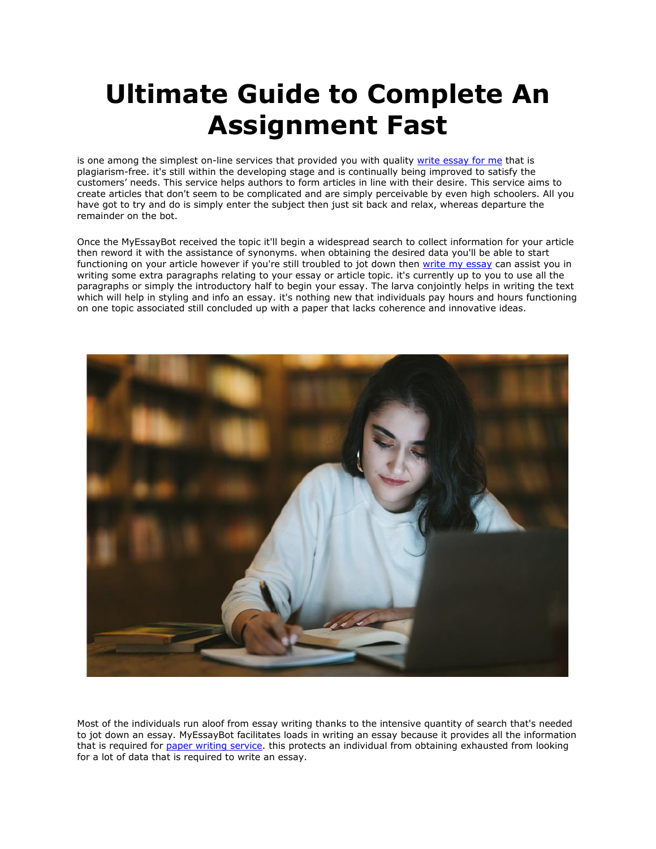## **Ultimate Guide to Complete An Assignment Fast**

is one among the simplest on-line services that provided you with quality [write essay for me](https://www.5staressays.com/) that is plagiarism-free. it's still within the developing stage and is continually being improved to satisfy the customers' needs. This service helps authors to form articles in line with their desire. This service aims to create articles that don't seem to be complicated and are simply perceivable by even high schoolers. All you have got to try and do is simply enter the subject then just sit back and relax, whereas departure the remainder on the bot.

Once the MyEssayBot received the topic it'll begin a widespread search to collect information for your article then reword it with the assistance of synonyms. when obtaining the desired data you'll be able to start functioning on your article however if you're still troubled to jot down then [write my essay](https://www.myperfectwords.com/) can assist you in writing some extra paragraphs relating to your essay or article topic. it's currently up to you to use all the paragraphs or simply the introductory half to begin your essay. The larva conjointly helps in writing the text which will help in styling and info an essay. it's nothing new that individuals pay hours and hours functioning on one topic associated still concluded up with a paper that lacks coherence and innovative ideas.



Most of the individuals run aloof from essay writing thanks to the intensive quantity of search that's needed to jot down an essay. MyEssayBot facilitates loads in writing an essay because it provides all the information that is required for [paper writing service.](https://www.5staressays.com/paper-writing-service) this protects an individual from obtaining exhausted from looking for a lot of data that is required to write an essay.